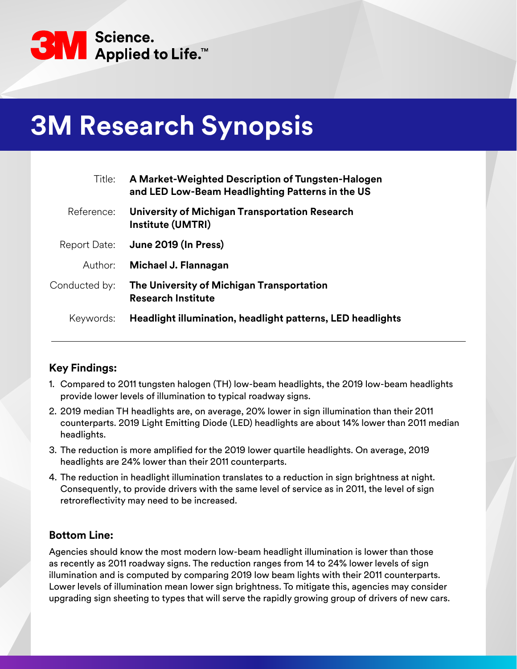

# **3M Research Synopsis**

| Title:        | A Market-Weighted Description of Tungsten-Halogen<br>and LED Low-Beam Headlighting Patterns in the US |
|---------------|-------------------------------------------------------------------------------------------------------|
| Reference:    | University of Michigan Transportation Research<br><b>Institute (UMTRI)</b>                            |
| Report Date:  | June 2019 (In Press)                                                                                  |
| Author:       | Michael J. Flannagan                                                                                  |
| Conducted by: | The University of Michigan Transportation<br><b>Research Institute</b>                                |
| Keywords:     | Headlight illumination, headlight patterns, LED headlights                                            |

## **Key Findings:**

- 1. Compared to 2011 tungsten halogen (TH) low-beam headlights, the 2019 low-beam headlights provide lower levels of illumination to typical roadway signs.
- 2. 2019 median TH headlights are, on average, 20% lower in sign illumination than their 2011 counterparts. 2019 Light Emitting Diode (LED) headlights are about 14% lower than 2011 median headlights.
- 3. The reduction is more amplified for the 2019 lower quartile headlights. On average, 2019 headlights are 24% lower than their 2011 counterparts.
- 4. The reduction in headlight illumination translates to a reduction in sign brightness at night. Consequently, to provide drivers with the same level of service as in 2011, the level of sign retroreflectivity may need to be increased.

## **Bottom Line:**

Agencies should know the most modern low-beam headlight illumination is lower than those as recently as 2011 roadway signs. The reduction ranges from 14 to 24% lower levels of sign illumination and is computed by comparing 2019 low beam lights with their 2011 counterparts. Lower levels of illumination mean lower sign brightness. To mitigate this, agencies may consider upgrading sign sheeting to types that will serve the rapidly growing group of drivers of new cars.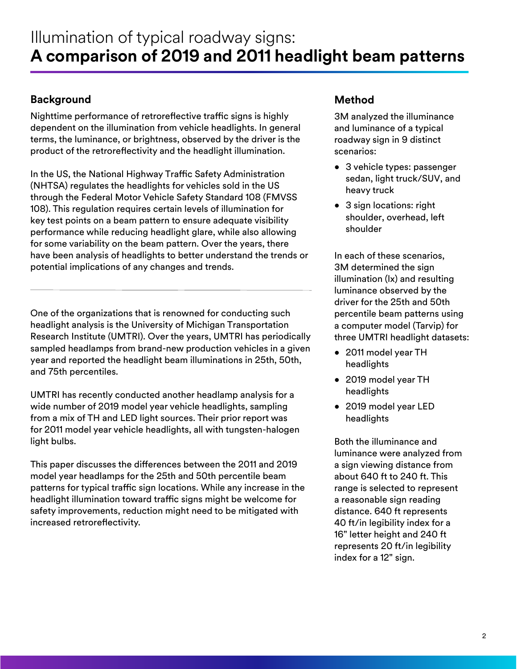## **Background**

Nighttime performance of retroreflective traffic signs is highly dependent on the illumination from vehicle headlights. In general terms, the luminance, or brightness, observed by the driver is the product of the retroreflectivity and the headlight illumination.

In the US, the National Highway Traffic Safety Administration (NHTSA) regulates the headlights for vehicles sold in the US through the Federal Motor Vehicle Safety Standard 108 (FMVSS 108). This regulation requires certain levels of illumination for key test points on a beam pattern to ensure adequate visibility performance while reducing headlight glare, while also allowing for some variability on the beam pattern. Over the years, there have been analysis of headlights to better understand the trends or potential implications of any changes and trends.

One of the organizations that is renowned for conducting such headlight analysis is the University of Michigan Transportation Research Institute (UMTRI). Over the years, UMTRI has periodically sampled headlamps from brand-new production vehicles in a given year and reported the headlight beam illuminations in 25th, 50th, and 75th percentiles.

UMTRI has recently conducted another headlamp analysis for a wide number of 2019 model year vehicle headlights, sampling from a mix of TH and LED light sources. Their prior report was for 2011 model year vehicle headlights, all with tungsten-halogen light bulbs.

This paper discusses the differences between the 2011 and 2019 model year headlamps for the 25th and 50th percentile beam patterns for typical traffic sign locations. While any increase in the headlight illumination toward traffic signs might be welcome for safety improvements, reduction might need to be mitigated with increased retroreflectivity.

## **Method**

3M analyzed the illuminance and luminance of a typical roadway sign in 9 distinct scenarios:

- 3 vehicle types: passenger sedan, light truck/SUV, and heavy truck
- 3 sign locations: right shoulder, overhead, left shoulder

In each of these scenarios, 3M determined the sign illumination (lx) and resulting luminance observed by the driver for the 25th and 50th percentile beam patterns using a computer model (Tarvip) for three UMTRI headlight datasets:

- 2011 model year TH headlights
- 2019 model year TH headlights
- 2019 model year LED headlights

Both the illuminance and luminance were analyzed from a sign viewing distance from about 640 ft to 240 ft. This range is selected to represent a reasonable sign reading distance. 640 ft represents 40 ft/in legibility index for a 16" letter height and 240 ft represents 20 ft/in legibility index for a 12" sign.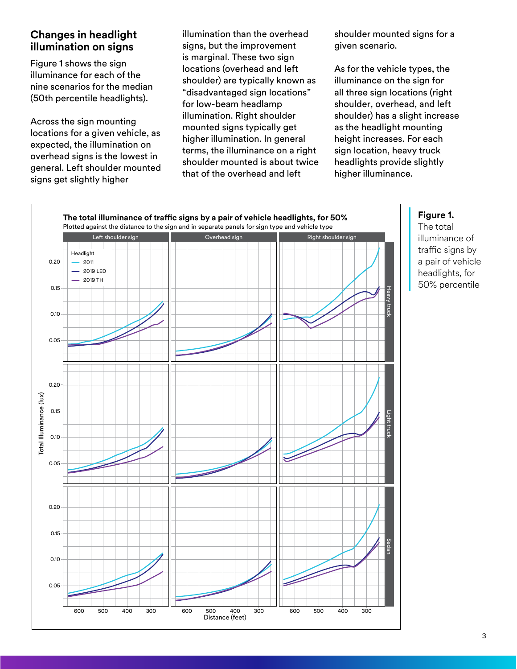## **Changes in headlight illumination on signs**

Figure 1 shows the sign illuminance for each of the nine scenarios for the median (50th percentile headlights).

Across the sign mounting locations for a given vehicle, as expected, the illumination on overhead signs is the lowest in general. Left shoulder mounted signs get slightly higher

illumination than the overhead signs, but the improvement is marginal. These two sign locations (overhead and left shoulder) are typically known as "disadvantaged sign locations" for low-beam headlamp illumination. Right shoulder mounted signs typically get higher illumination. In general terms, the illuminance on a right shoulder mounted is about twice that of the overhead and left

shoulder mounted signs for a given scenario.

As for the vehicle types, the illuminance on the sign for all three sign locations (right shoulder, overhead, and left shoulder) has a slight increase as the headlight mounting height increases. For each sign location, heavy truck headlights provide slightly higher illuminance.



#### **Figure 1.**

The total illuminance of traffic signs by a pair of vehicle headlights, for 50% percentile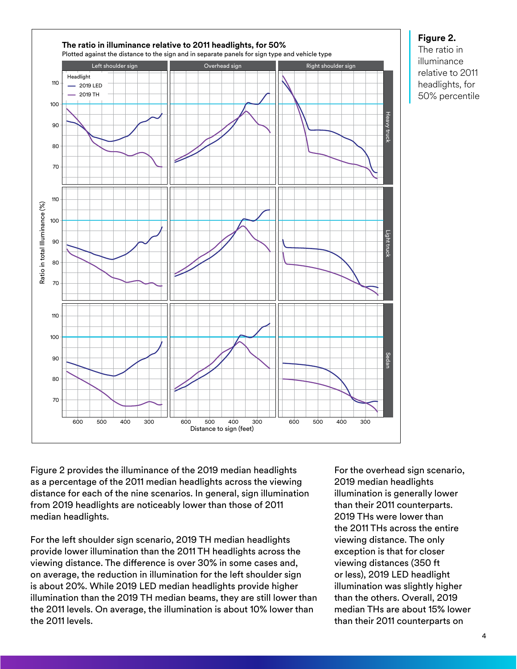

#### **Figure 2.**

The ratio in illuminance relative to 2011 headlights, for 50% percentile

Figure 2 provides the illuminance of the 2019 median headlights as a percentage of the 2011 median headlights across the viewing distance for each of the nine scenarios. In general, sign illumination from 2019 headlights are noticeably lower than those of 2011 median headlights.

For the left shoulder sign scenario, 2019 TH median headlights provide lower illumination than the 2011 TH headlights across the viewing distance. The difference is over 30% in some cases and, on average, the reduction in illumination for the left shoulder sign is about 20%. While 2019 LED median headlights provide higher illumination than the 2019 TH median beams, they are still lower than the 2011 levels. On average, the illumination is about 10% lower than the 2011 levels.

For the overhead sign scenario, 2019 median headlights illumination is generally lower than their 2011 counterparts. 2019 THs were lower than the 2011 THs across the entire viewing distance. The only exception is that for closer viewing distances (350 ft or less), 2019 LED headlight illumination was slightly higher than the others. Overall, 2019 median THs are about 15% lower than their 2011 counterparts on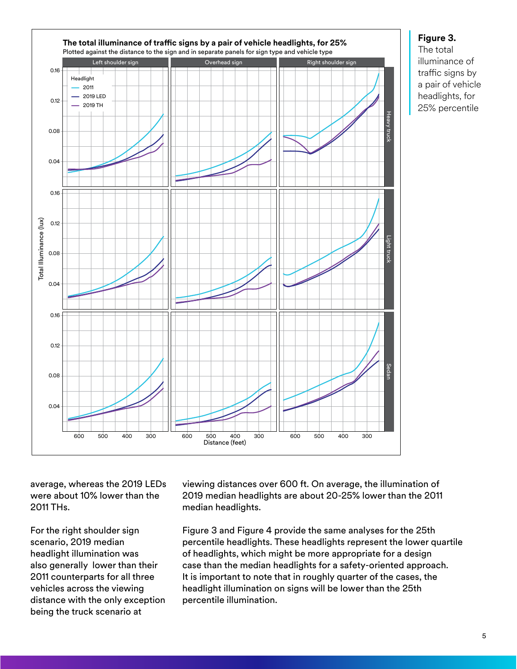

#### **Figure 3.**

The total illuminance of traffic signs by a pair of vehicle headlights, for 25% percentile

average, whereas the 2019 LEDs were about 10% lower than the 2011 THs.

For the right shoulder sign scenario, 2019 median headlight illumination was also generally lower than their 2011 counterparts for all three vehicles across the viewing distance with the only exception being the truck scenario at

viewing distances over 600 ft. On average, the illumination of 2019 median headlights are about 20-25% lower than the 2011 median headlights.

Figure 3 and Figure 4 provide the same analyses for the 25th percentile headlights. These headlights represent the lower quartile of headlights, which might be more appropriate for a design case than the median headlights for a safety-oriented approach. It is important to note that in roughly quarter of the cases, the headlight illumination on signs will be lower than the 25th percentile illumination.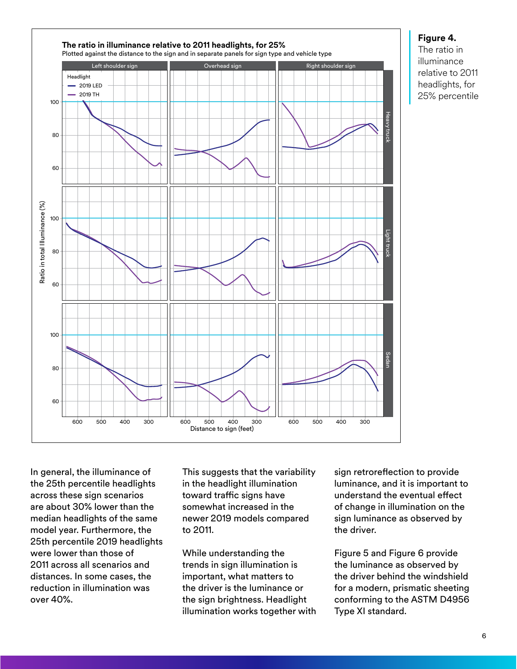

#### **Figure 4.**

The ratio in illuminance relative to 2011 headlights, for 25% percentile

In general, the illuminance of the 25th percentile headlights across these sign scenarios are about 30% lower than the median headlights of the same model year. Furthermore, the 25th percentile 2019 headlights were lower than those of 2011 across all scenarios and distances. In some cases, the reduction in illumination was over 40%.

This suggests that the variability in the headlight illumination toward traffic signs have somewhat increased in the newer 2019 models compared to 2011.

While understanding the trends in sign illumination is important, what matters to the driver is the luminance or the sign brightness. Headlight illumination works together with sign retroreflection to provide luminance, and it is important to understand the eventual effect of change in illumination on the sign luminance as observed by the driver.

Figure 5 and Figure 6 provide the luminance as observed by the driver behind the windshield for a modern, prismatic sheeting conforming to the ASTM D4956 Type XI standard.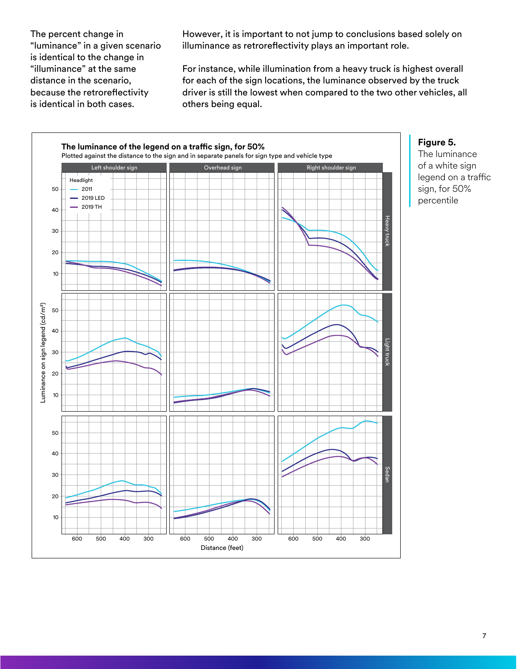The percent change in "luminance" in a given scenario is identical to the change in "illuminance" at the same distance in the scenario, because the retroreflectivity is identical in both cases.

However, it is important to not jump to conclusions based solely on illuminance as retroreflectivity plays an important role.

For instance, while illumination from a heavy truck is highest overall for each of the sign locations, the luminance observed by the truck driver is still the lowest when compared to the two other vehicles, all others being equal.



#### **Figure 5.**

The luminance of a white sign legend on a traffic sign, for 50% percentile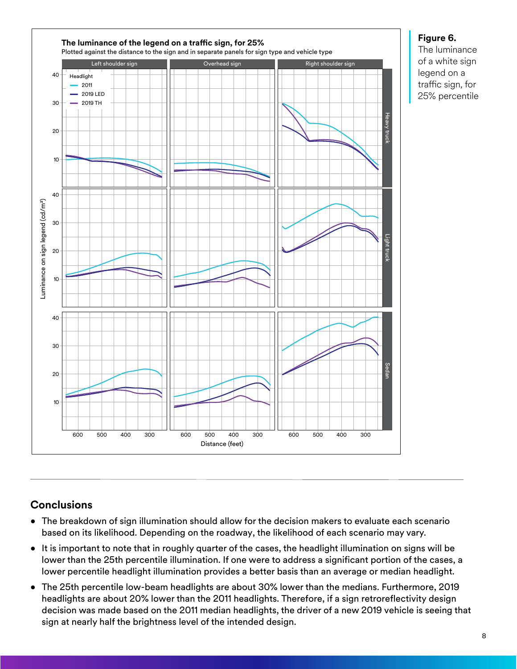

### **Figure 6.**

The luminance of a white sign legend on a traffic sign, for 25% percentile

## **Conclusions**

- The breakdown of sign illumination should allow for the decision makers to evaluate each scenario based on its likelihood. Depending on the roadway, the likelihood of each scenario may vary.
- It is important to note that in roughly quarter of the cases, the headlight illumination on signs will be lower than the 25th percentile illumination. If one were to address a significant portion of the cases, a lower percentile headlight illumination provides a better basis than an average or median headlight.
- The 25th percentile low-beam headlights are about 30% lower than the medians. Furthermore, 2019 headlights are about 20% lower than the 2011 headlights. Therefore, if a sign retroreflectivity design decision was made based on the 2011 median headlights, the driver of a new 2019 vehicle is seeing that sign at nearly half the brightness level of the intended design.